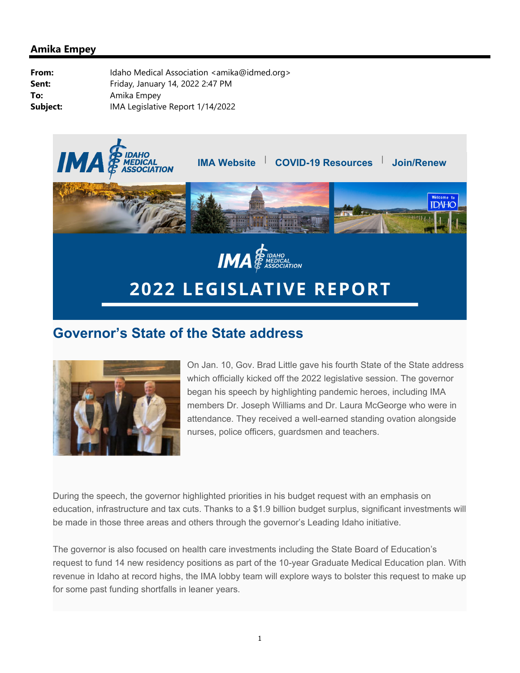





## **2022 LEGISLATIVE REPORT**

#### **Governor's State of the State address**



On Jan. 10, Gov. Brad Little gave his fourth State of the State address which officially kicked off the 2022 legislative session. The governor began his speech by highlighting pandemic heroes, including IMA members Dr. Joseph Williams and Dr. Laura McGeorge who were in attendance. They received a well-earned standing ovation alongside nurses, police officers, guardsmen and teachers.

During the speech, the governor highlighted priorities in his budget request with an emphasis on education, infrastructure and tax cuts. Thanks to a \$1.9 billion budget surplus, significant investments will be made in those three areas and others through the governor's Leading Idaho initiative.

The governor is also focused on health care investments including the State Board of Education's request to fund 14 new residency positions as part of the 10-year Graduate Medical Education plan. With revenue in Idaho at record highs, the IMA lobby team will explore ways to bolster this request to make up for some past funding shortfalls in leaner years.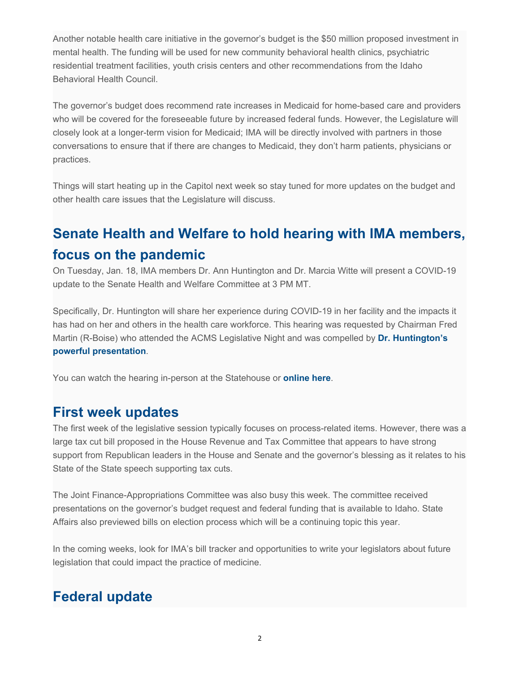Another notable health care initiative in the governor's budget is the \$50 million proposed investment in mental health. The funding will be used for new community behavioral health clinics, psychiatric residential treatment facilities, youth crisis centers and other recommendations from the Idaho Behavioral Health Council.

The governor's budget does recommend rate increases in Medicaid for home-based care and providers who will be covered for the foreseeable future by increased federal funds. However, the Legislature will closely look at a longer-term vision for Medicaid; IMA will be directly involved with partners in those conversations to ensure that if there are changes to Medicaid, they don't harm patients, physicians or practices.

Things will start heating up in the Capitol next week so stay tuned for more updates on the budget and other health care issues that the Legislature will discuss.

## **Senate Health and Welfare to hold hearing with IMA members, focus on the pandemic**

On Tuesday, Jan. 18, IMA members Dr. Ann Huntington and Dr. Marcia Witte will present a COVID-19 update to the Senate Health and Welfare Committee at 3 PM MT.

Specifically, Dr. Huntington will share her experience during COVID-19 in her facility and the impacts it has had on her and others in the health care workforce. This hearing was requested by Chairman Fred Martin (R-Boise) who attended the ACMS Legislative Night and was compelled by **Dr. Huntington's powerful presentation**.

You can watch the hearing in-person at the Statehouse or **online here**.

#### **First week updates**

The first week of the legislative session typically focuses on process-related items. However, there was a large tax cut bill proposed in the House Revenue and Tax Committee that appears to have strong support from Republican leaders in the House and Senate and the governor's blessing as it relates to his State of the State speech supporting tax cuts.

The Joint Finance-Appropriations Committee was also busy this week. The committee received presentations on the governor's budget request and federal funding that is available to Idaho. State Affairs also previewed bills on election process which will be a continuing topic this year.

In the coming weeks, look for IMA's bill tracker and opportunities to write your legislators about future legislation that could impact the practice of medicine.

### **Federal update**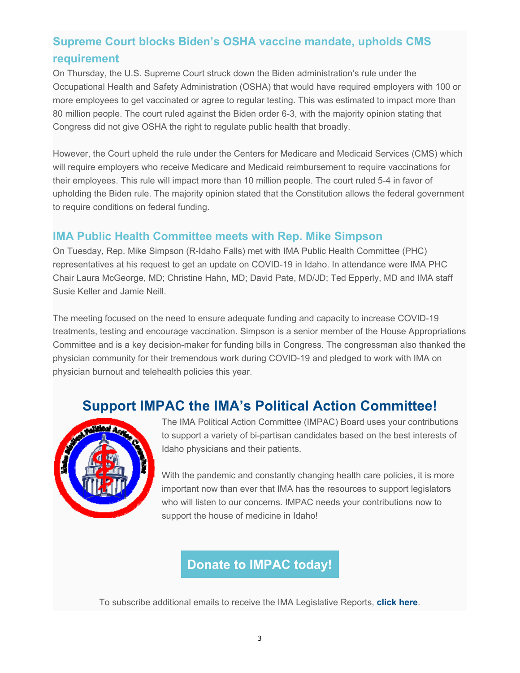#### **Supreme Court blocks Biden's OSHA vaccine mandate, upholds CMS requirement**

On Thursday, the U.S. Supreme Court struck down the Biden administration's rule under the Occupational Health and Safety Administration (OSHA) that would have required employers with 100 or more employees to get vaccinated or agree to regular testing. This was estimated to impact more than 80 million people. The court ruled against the Biden order 6-3, with the majority opinion stating that Congress did not give OSHA the right to regulate public health that broadly.

However, the Court upheld the rule under the Centers for Medicare and Medicaid Services (CMS) which will require employers who receive Medicare and Medicaid reimbursement to require vaccinations for their employees. This rule will impact more than 10 million people. The court ruled 5-4 in favor of upholding the Biden rule. The majority opinion stated that the Constitution allows the federal government to require conditions on federal funding.

#### **IMA Public Health Committee meets with Rep. Mike Simpson**

On Tuesday, Rep. Mike Simpson (R-Idaho Falls) met with IMA Public Health Committee (PHC) representatives at his request to get an update on COVID-19 in Idaho. In attendance were IMA PHC Chair Laura McGeorge, MD; Christine Hahn, MD; David Pate, MD/JD; Ted Epperly, MD and IMA staff Susie Keller and Jamie Neill.

The meeting focused on the need to ensure adequate funding and capacity to increase COVID-19 treatments, testing and encourage vaccination. Simpson is a senior member of the House Appropriations Committee and is a key decision-maker for funding bills in Congress. The congressman also thanked the physician community for their tremendous work during COVID-19 and pledged to work with IMA on physician burnout and telehealth policies this year.

#### **Support IMPAC the IMA's Political Action Committee!**



The IMA Political Action Committee (IMPAC) Board uses your contributions to support a variety of bi-partisan candidates based on the best interests of Idaho physicians and their patients.

With the pandemic and constantly changing health care policies, it is more important now than ever that IMA has the resources to support legislators who will listen to our concerns. IMPAC needs your contributions now to support the house of medicine in Idaho!

### **Donate to IMPAC today!**

To subscribe additional emails to receive the IMA Legislative Reports, **click here**.